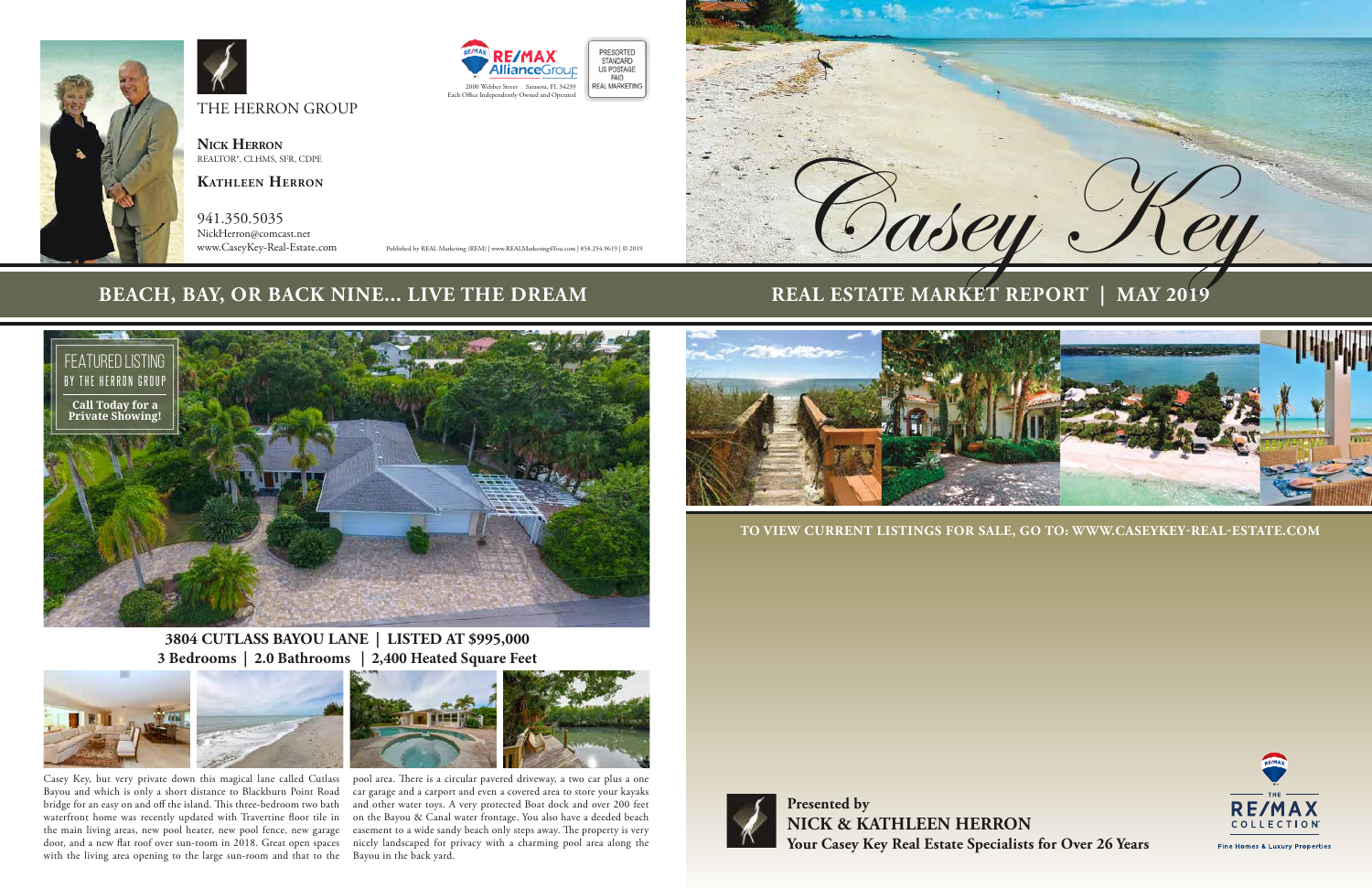**Presented by NICK & KATHLEEN HERRON Your Casey Key Real Estate Specialists for Over 26 Years**



Fine Homes & Luxury Properties

**TO VIEW CURRENT LISTINGS FOR SALE, GO TO: WWW.CASEYKEY-REAL-ESTATE.COM** 



941.350.5035 NickHerron@comcast.net<br>www.CaseyKey-Real-Estate.com



# **REAL ESTATE MARKET REPORT**







**Nick Herron** REALTOR®, CLHMS, SFR, CDPE

**Kathleen Herron**



Published by REAL Marketing (REM) | www.REALMarketing4You.com | 858.254.9619 | © 2019

# **BEACH, BAY, OR BACK NINE... LIVE THE DREAM**

**3804 CUTLASS BAYOU LANE | LISTED AT \$995,000 3 Bedrooms | 2.0 Bathrooms | 2,400 Heated Square Feet**





waterfront home was recently updated with Travertine floor tile in on the Bayou & Canal water frontage. You also have a deeded beach the main living areas, new pool heater, new pool fence, new garage easement to a wide sandy beach only steps away. The property is very door, and a new flat roof over sun-room in 2018. Great open spaces nicely landscaped for privacy with a charming pool area along the pool area. There is a circular pavered driveway, a two car plus a one car garage and a carport and even a covered area to store your kayaks and other water toys. A very protected Boat dock and over 200 feet

Casey Key, but very private down this magical lane called Cutlass Bayou and which is only a short distance to Blackburn Point Road bridge for an easy on and off the island. This three-bedroom two bath with the living area opening to the large sun-room and that to the Bayou in the back yard.